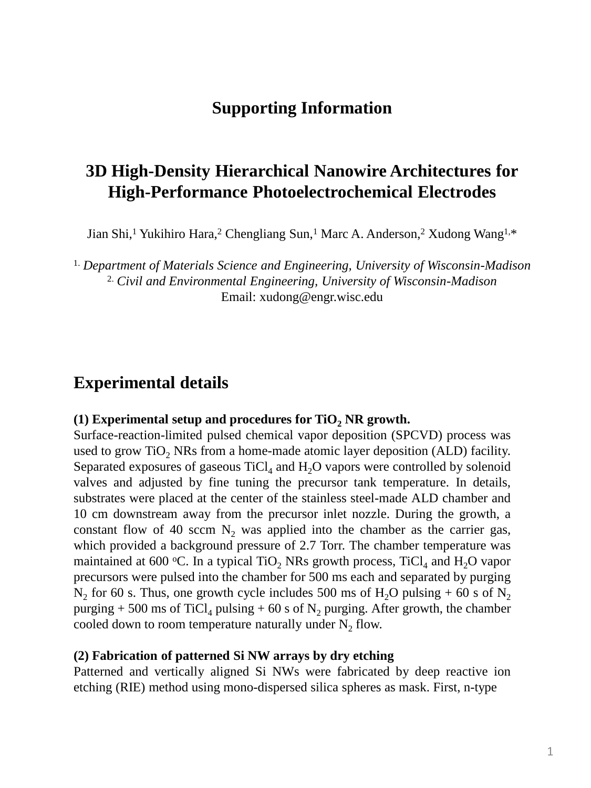# **Supporting Information**

# **3D High-Density Hierarchical Nanowire Architectures for High-Performance Photoelectrochemical Electrodes**

Jian Shi,<sup>1</sup> Yukihiro Hara,<sup>2</sup> Chengliang Sun,<sup>1</sup> Marc A. Anderson,<sup>2</sup> Xudong Wang<sup>1,\*</sup>

1. *Department of Materials Science and Engineering, University of Wisconsin-Madison* 2. *Civil and Environmental Engineering, University of Wisconsin-Madison* Email: xudong@engr.wisc.edu

# **Experimental details**

#### **(1) Experimental setup and procedures for TiO<sup>2</sup> NR growth.**

Surface-reaction-limited pulsed chemical vapor deposition (SPCVD) process was used to grow TiO<sub>2</sub> NRs from a home-made atomic layer deposition (ALD) facility. Separated exposures of gaseous  $TiCl<sub>4</sub>$  and  $H<sub>2</sub>O$  vapors were controlled by solenoid valves and adjusted by fine tuning the precursor tank temperature. In details, substrates were placed at the center of the stainless steel-made ALD chamber and 10 cm downstream away from the precursor inlet nozzle. During the growth, a constant flow of 40 sccm  $N_2$  was applied into the chamber as the carrier gas, which provided a background pressure of 2.7 Torr. The chamber temperature was maintained at 600 °C. In a typical TiO<sub>2</sub> NRs growth process, TiCl<sub>4</sub> and H<sub>2</sub>O vapor precursors were pulsed into the chamber for 500 ms each and separated by purging  $N_2$  for 60 s. Thus, one growth cycle includes 500 ms of  $H_2O$  pulsing + 60 s of  $N_2$ purging + 500 ms of TiCl<sub>4</sub> pulsing + 60 s of  $N_2$  purging. After growth, the chamber cooled down to room temperature naturally under  $N_2$  flow.

#### **(2) Fabrication of patterned Si NW arrays by dry etching**

Patterned and vertically aligned Si NWs were fabricated by deep reactive ion etching (RIE) method using mono-dispersed silica spheres as mask. First, n-type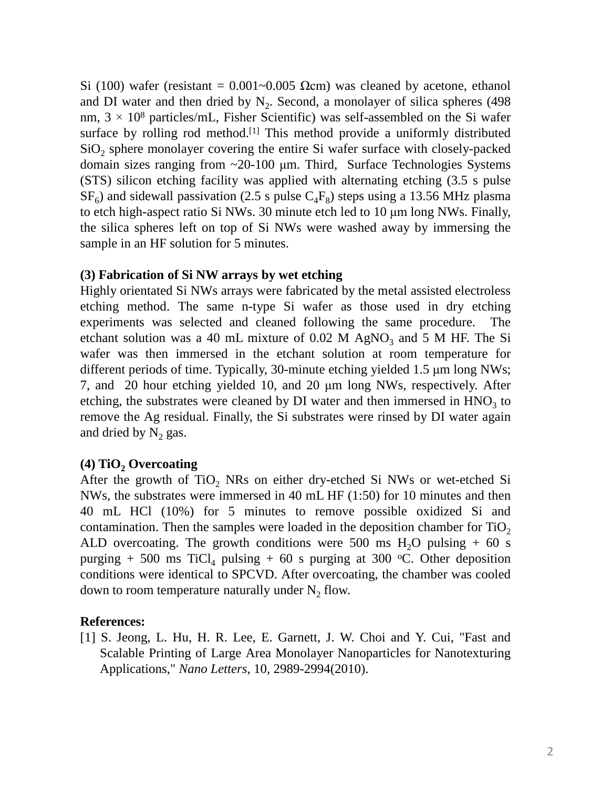Si (100) wafer (resistant =  $0.001 \sim 0.005$  Ωcm) was cleaned by acetone, ethanol and DI water and then dried by  $N_2$ . Second, a monolayer of silica spheres (498) nm,  $3 \times 10^8$  particles/mL, Fisher Scientific) was self-assembled on the Si wafer surface by rolling rod method.<sup>[1]</sup> This method provide a uniformly distributed  $SiO<sub>2</sub>$  sphere monolayer covering the entire Si wafer surface with closely-packed domain sizes ranging from ~20-100 μm. Third, Surface Technologies Systems (STS) silicon etching facility was applied with alternating etching (3.5 s pulse  $SF<sub>6</sub>$ ) and sidewall passivation (2.5 s pulse  $C<sub>4</sub>F<sub>8</sub>$ ) steps using a 13.56 MHz plasma to etch high-aspect ratio Si NWs. 30 minute etch led to 10 μm long NWs. Finally, the silica spheres left on top of Si NWs were washed away by immersing the sample in an HF solution for 5 minutes.

## **(3) Fabrication of Si NW arrays by wet etching**

Highly orientated Si NWs arrays were fabricated by the metal assisted electroless etching method. The same n-type Si wafer as those used in dry etching experiments was selected and cleaned following the same procedure. The etchant solution was a 40 mL mixture of  $0.02$  M AgNO<sub>3</sub> and 5 M HF. The Si wafer was then immersed in the etchant solution at room temperature for different periods of time. Typically, 30-minute etching yielded 1.5 μm long NWs; 7, and 20 hour etching yielded 10, and 20 μm long NWs, respectively. After etching, the substrates were cleaned by DI water and then immersed in  $HNO<sub>3</sub>$  to remove the Ag residual. Finally, the Si substrates were rinsed by DI water again and dried by  $N_2$  gas.

## **(4) TiO<sup>2</sup> Overcoating**

After the growth of  $TiO<sub>2</sub>$  NRs on either dry-etched Si NWs or wet-etched Si NWs, the substrates were immersed in 40 mL HF (1:50) for 10 minutes and then 40 mL HCl (10%) for 5 minutes to remove possible oxidized Si and contamination. Then the samples were loaded in the deposition chamber for  $TiO<sub>2</sub>$ ALD overcoating. The growth conditions were 500 ms  $H_2O$  pulsing  $+60$  s purging + 500 ms TiCl<sub>4</sub> pulsing + 60 s purging at 300 °C. Other deposition conditions were identical to SPCVD. After overcoating, the chamber was cooled down to room temperature naturally under  $N_2$  flow.

## **References:**

[1] S. Jeong, L. Hu, H. R. Lee, E. Garnett, J. W. Choi and Y. Cui, "Fast and Scalable Printing of Large Area Monolayer Nanoparticles for Nanotexturing Applications," *Nano Letters*, 10, 2989-2994(2010).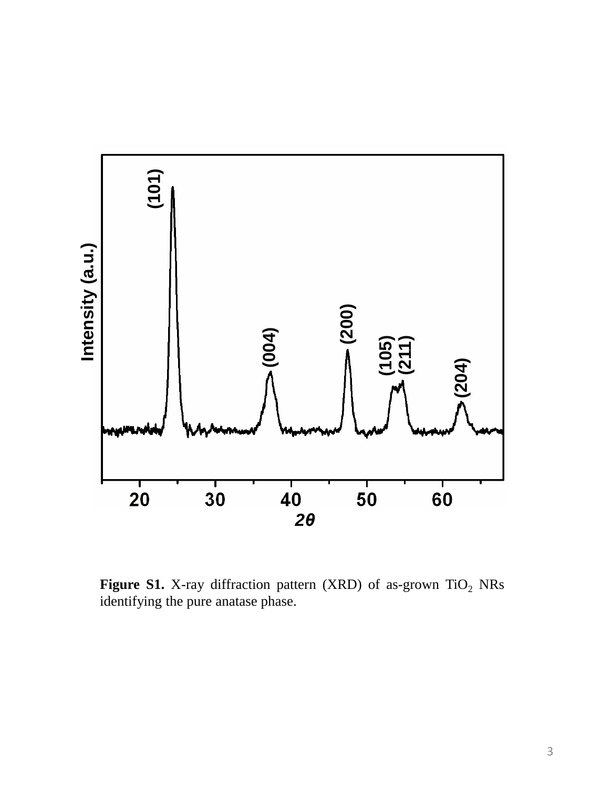

**Figure S1.** X-ray diffraction pattern (XRD) of as-grown TiO<sub>2</sub> NRs identifying the pure anatase phase.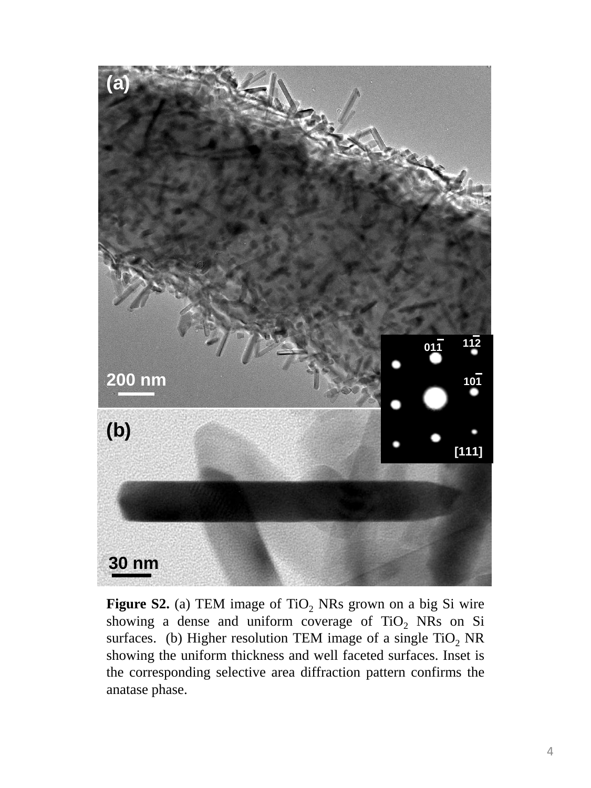

**Figure S2.** (a) TEM image of  $TiO<sub>2</sub>$  NRs grown on a big Si wire showing a dense and uniform coverage of  $TiO<sub>2</sub>$  NRs on Si surfaces. (b) Higher resolution TEM image of a single  $TiO<sub>2</sub> NR$ showing the uniform thickness and well faceted surfaces. Inset is the corresponding selective area diffraction pattern confirms the anatase phase.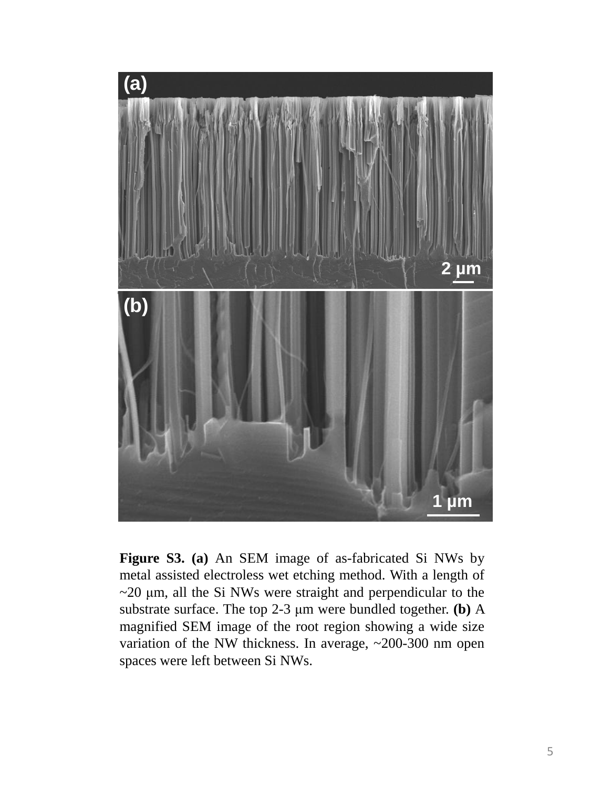

**Figure S3. (a)** An SEM image of as-fabricated Si NWs by metal assisted electroless wet etching method. With a length of  $\sim$ 20  $\mu$ m, all the Si NWs were straight and perpendicular to the substrate surface. The top 2-3 μm were bundled together. **(b)** A magnified SEM image of the root region showing a wide size variation of the NW thickness. In average, ~200-300 nm open spaces were left between Si NWs.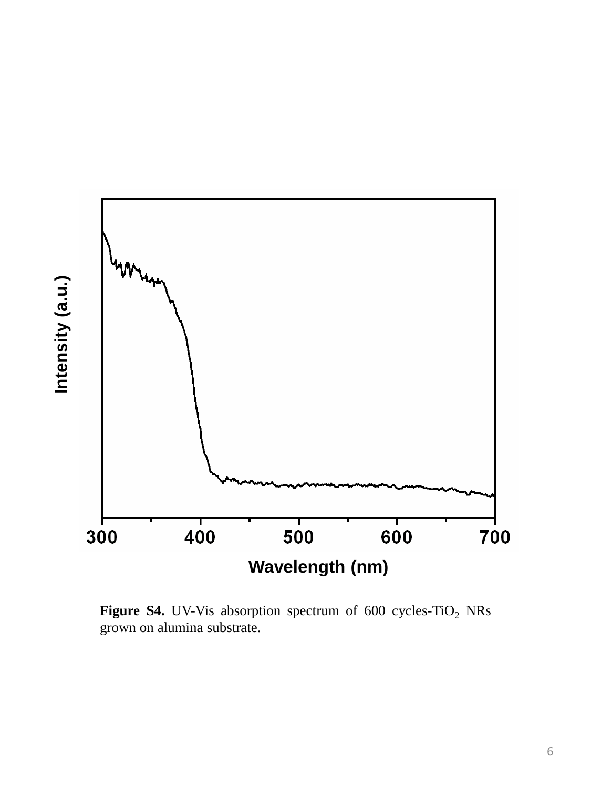

**Figure S4.** UV-Vis absorption spectrum of 600 cycles-TiO<sub>2</sub> NRs grown on alumina substrate.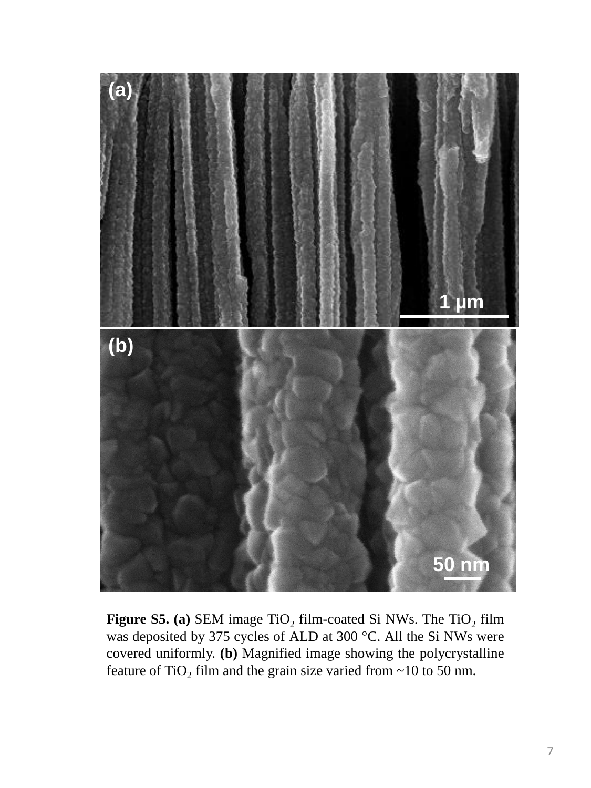

**Figure S5. (a)** SEM image  $TiO<sub>2</sub>$  film-coated Si NWs. The  $TiO<sub>2</sub>$  film was deposited by 375 cycles of ALD at 300 °C. All the Si NWs were covered uniformly. **(b)** Magnified image showing the polycrystalline feature of TiO<sub>2</sub> film and the grain size varied from  $\sim$ 10 to 50 nm.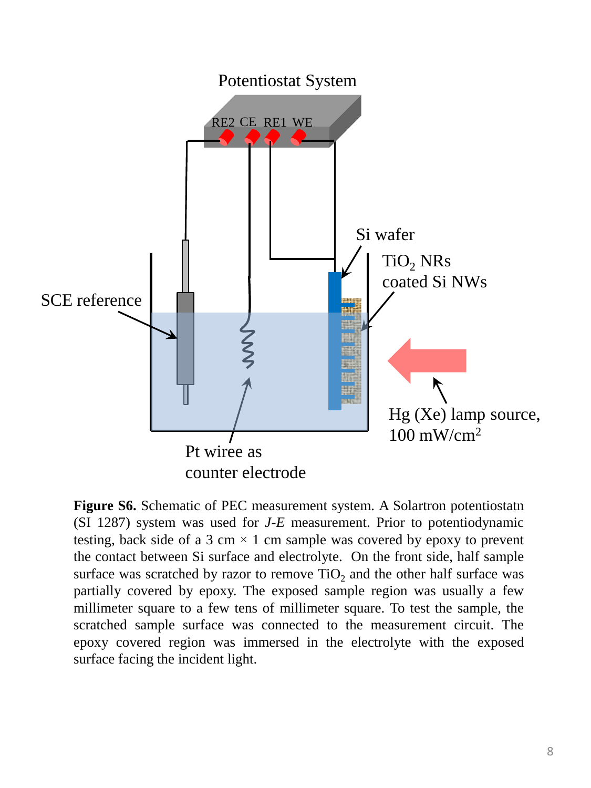

**Figure S6.** Schematic of PEC measurement system. A Solartron potentiostatn (SI 1287) system was used for *J-E* measurement. Prior to potentiodynamic testing, back side of a 3 cm  $\times$  1 cm sample was covered by epoxy to prevent the contact between Si surface and electrolyte. On the front side, half sample surface was scratched by razor to remove  $TiO<sub>2</sub>$  and the other half surface was partially covered by epoxy. The exposed sample region was usually a few millimeter square to a few tens of millimeter square. To test the sample, the scratched sample surface was connected to the measurement circuit. The epoxy covered region was immersed in the electrolyte with the exposed surface facing the incident light.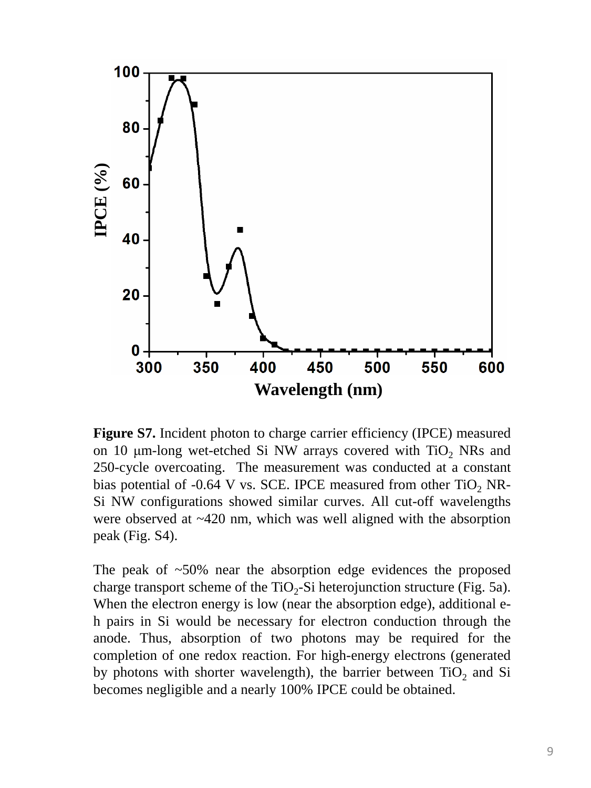

**Figure S7.** Incident photon to charge carrier efficiency (IPCE) measured on 10  $\mu$ m-long wet-etched Si NW arrays covered with TiO<sub>2</sub> NRs and 250-cycle overcoating. The measurement was conducted at a constant bias potential of -0.64 V vs. SCE. IPCE measured from other  $TiO<sub>2</sub>$  NR-Si NW configurations showed similar curves. All cut-off wavelengths were observed at ~420 nm, which was well aligned with the absorption peak (Fig. S4).

The peak of  $\sim 50\%$  near the absorption edge evidences the proposed charge transport scheme of the TiO<sub>2</sub>-Si heterojunction structure (Fig. 5a). When the electron energy is low (near the absorption edge), additional eh pairs in Si would be necessary for electron conduction through the anode. Thus, absorption of two photons may be required for the completion of one redox reaction. For high-energy electrons (generated by photons with shorter wavelength), the barrier between  $TiO<sub>2</sub>$  and Si becomes negligible and a nearly 100% IPCE could be obtained.